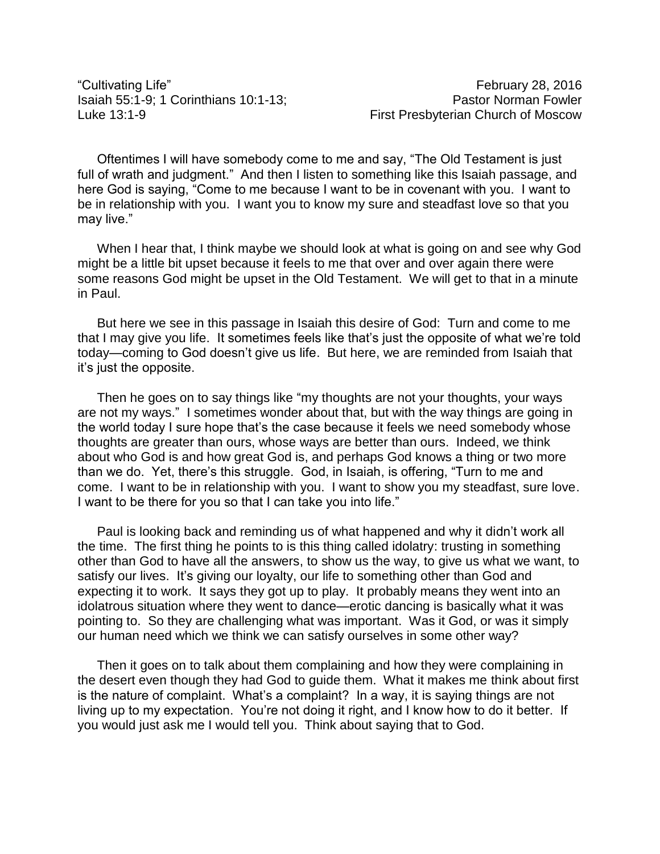"Cultivating Life" February 28, 2016

Oftentimes I will have somebody come to me and say, "The Old Testament is just full of wrath and judgment." And then I listen to something like this Isaiah passage, and here God is saying, "Come to me because I want to be in covenant with you. I want to be in relationship with you. I want you to know my sure and steadfast love so that you may live."

When I hear that, I think maybe we should look at what is going on and see why God might be a little bit upset because it feels to me that over and over again there were some reasons God might be upset in the Old Testament. We will get to that in a minute in Paul.

But here we see in this passage in Isaiah this desire of God: Turn and come to me that I may give you life. It sometimes feels like that's just the opposite of what we're told today—coming to God doesn't give us life. But here, we are reminded from Isaiah that it's just the opposite.

Then he goes on to say things like "my thoughts are not your thoughts, your ways are not my ways." I sometimes wonder about that, but with the way things are going in the world today I sure hope that's the case because it feels we need somebody whose thoughts are greater than ours, whose ways are better than ours. Indeed, we think about who God is and how great God is, and perhaps God knows a thing or two more than we do. Yet, there's this struggle. God, in Isaiah, is offering, "Turn to me and come. I want to be in relationship with you. I want to show you my steadfast, sure love. I want to be there for you so that I can take you into life."

Paul is looking back and reminding us of what happened and why it didn't work all the time. The first thing he points to is this thing called idolatry: trusting in something other than God to have all the answers, to show us the way, to give us what we want, to satisfy our lives. It's giving our loyalty, our life to something other than God and expecting it to work. It says they got up to play. It probably means they went into an idolatrous situation where they went to dance—erotic dancing is basically what it was pointing to. So they are challenging what was important. Was it God, or was it simply our human need which we think we can satisfy ourselves in some other way?

Then it goes on to talk about them complaining and how they were complaining in the desert even though they had God to guide them. What it makes me think about first is the nature of complaint. What's a complaint? In a way, it is saying things are not living up to my expectation. You're not doing it right, and I know how to do it better. If you would just ask me I would tell you. Think about saying that to God.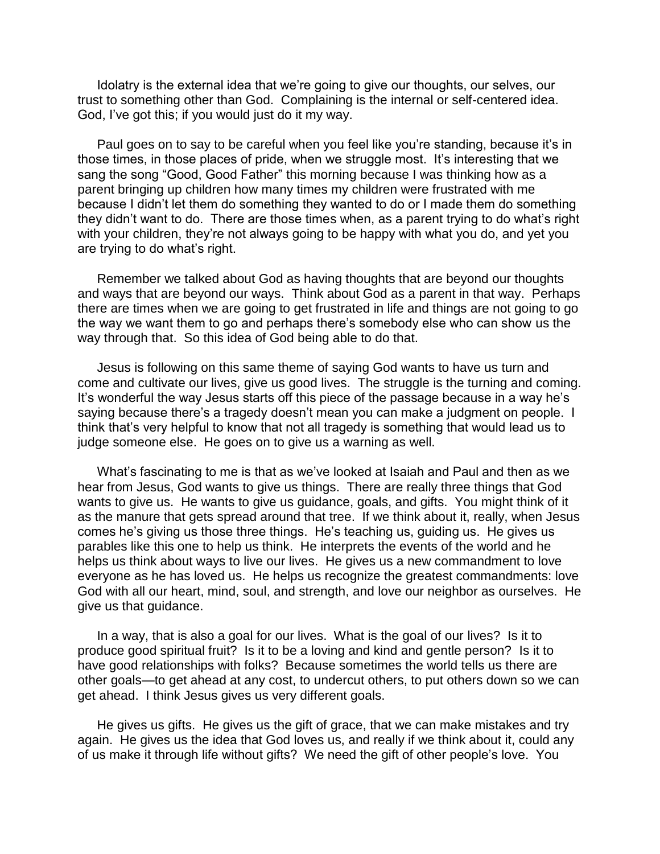Idolatry is the external idea that we're going to give our thoughts, our selves, our trust to something other than God. Complaining is the internal or self-centered idea. God, I've got this; if you would just do it my way.

Paul goes on to say to be careful when you feel like you're standing, because it's in those times, in those places of pride, when we struggle most. It's interesting that we sang the song "Good, Good Father" this morning because I was thinking how as a parent bringing up children how many times my children were frustrated with me because I didn't let them do something they wanted to do or I made them do something they didn't want to do. There are those times when, as a parent trying to do what's right with your children, they're not always going to be happy with what you do, and yet you are trying to do what's right.

Remember we talked about God as having thoughts that are beyond our thoughts and ways that are beyond our ways. Think about God as a parent in that way. Perhaps there are times when we are going to get frustrated in life and things are not going to go the way we want them to go and perhaps there's somebody else who can show us the way through that. So this idea of God being able to do that.

Jesus is following on this same theme of saying God wants to have us turn and come and cultivate our lives, give us good lives. The struggle is the turning and coming. It's wonderful the way Jesus starts off this piece of the passage because in a way he's saying because there's a tragedy doesn't mean you can make a judgment on people. I think that's very helpful to know that not all tragedy is something that would lead us to judge someone else. He goes on to give us a warning as well.

What's fascinating to me is that as we've looked at Isaiah and Paul and then as we hear from Jesus, God wants to give us things. There are really three things that God wants to give us. He wants to give us guidance, goals, and gifts. You might think of it as the manure that gets spread around that tree. If we think about it, really, when Jesus comes he's giving us those three things. He's teaching us, guiding us. He gives us parables like this one to help us think. He interprets the events of the world and he helps us think about ways to live our lives. He gives us a new commandment to love everyone as he has loved us. He helps us recognize the greatest commandments: love God with all our heart, mind, soul, and strength, and love our neighbor as ourselves. He give us that guidance.

In a way, that is also a goal for our lives. What is the goal of our lives? Is it to produce good spiritual fruit? Is it to be a loving and kind and gentle person? Is it to have good relationships with folks? Because sometimes the world tells us there are other goals—to get ahead at any cost, to undercut others, to put others down so we can get ahead. I think Jesus gives us very different goals.

He gives us gifts. He gives us the gift of grace, that we can make mistakes and try again. He gives us the idea that God loves us, and really if we think about it, could any of us make it through life without gifts? We need the gift of other people's love. You